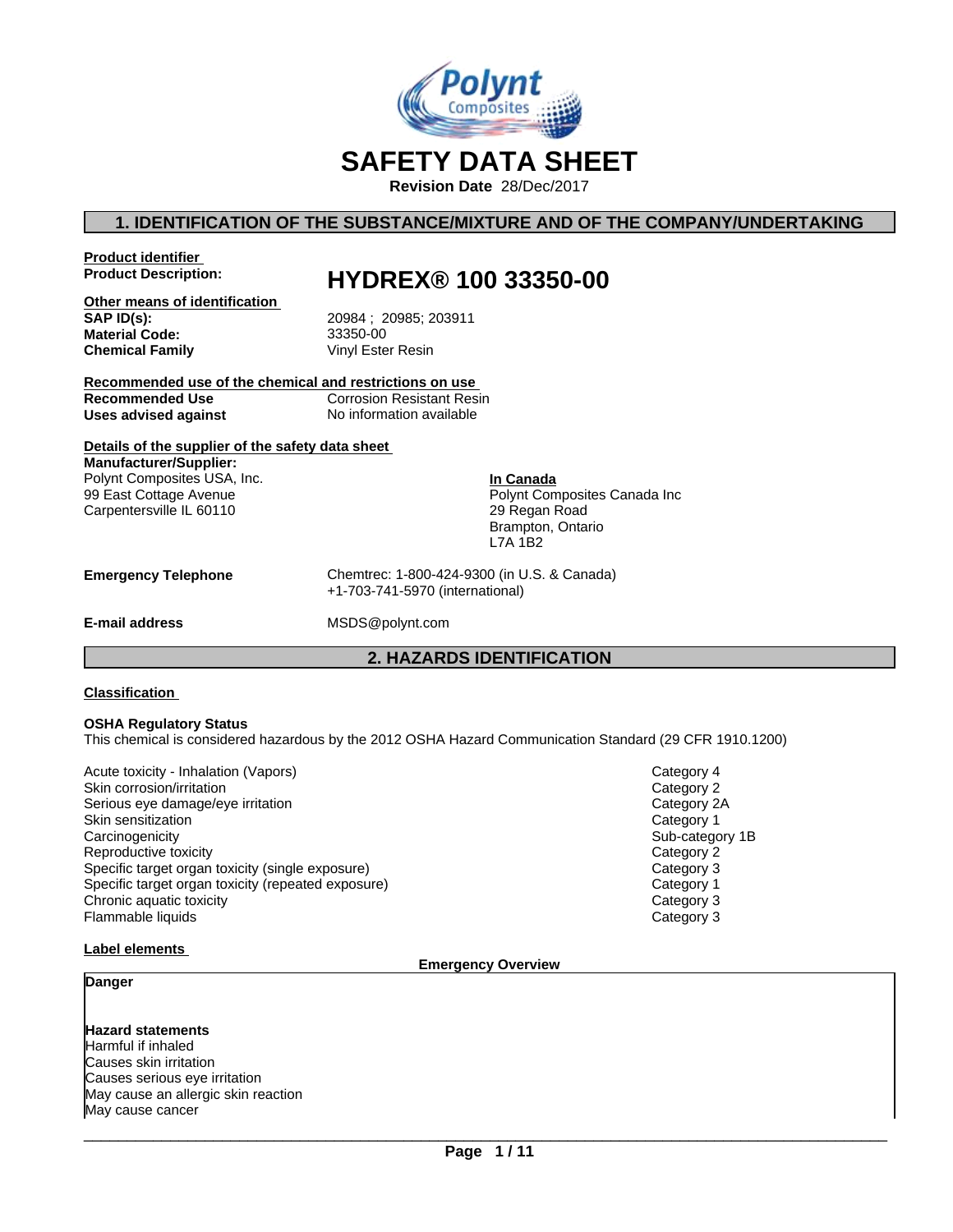

# **SAFETY DATA SHEET**

**Revision Date** 28/Dec/2017

# **1. IDENTIFICATION OF THE SUBSTANCE/MIXTURE AND OF THE COMPANY/UNDERTAKING**

**Product identifier**

# **Product Description: HYDREX® 100 33350-00**

**Other means of identification Material Code:** 33350-00 **Chemical Family** 

**SAP ID(s):** 20984 ; 20985; 203911

**Recommended use of the chemical and restrictions on use Recommended Use** Corrosion Resistant Resin<br> **Uses advised against** No information available **Uses advised against** 

# **Details of the supplier of the safety data sheet**

**Manufacturer/Supplier:** Polynt Composites USA, Inc. 99 East Cottage Avenue Carpentersville IL 60110

**In Canada** Polynt Composites Canada Inc 29 Regan Road Brampton, Ontario L7A 1B2

**Emergency Telephone** Chemtrec: 1-800-424-9300 (in U.S. & Canada) +1-703-741-5970 (international)

**E-mail address** MSDS@polynt.com

## **2. HAZARDS IDENTIFICATION**

#### **Classification**

#### **OSHA Regulatory Status**

This chemical is considered hazardous by the 2012 OSHA Hazard Communication Standard (29 CFR 1910.1200)

Acute toxicity - Inhalation (Vapors) and Category 4 and Category 4 and Category 4 and Category 4 and Category 4 Skin corrosion/irritation **Category 2** and Category 2 Serious eye damage/eye irritation Category 2A Skin sensitization **Category 1 Category 1 Category 1** Carcinogenicity **Sub-category 1B** Reproductive toxicity **Category 2** Specific target organ toxicity (single exposure) example and the category 3 Category 3 Specific target organ toxicity (repeated exposure) Specific target organ Category 1 **Chronic aquatic toxicity** Category 3 Flammable liquids Category 3

# **Label elements**

#### **Emergency Overview**

#### **Danger**

## **Hazard statements** Harmful if inhaled

Causes skin irritation Causes serious eye irritation May cause an allergic skin reaction May cause cancer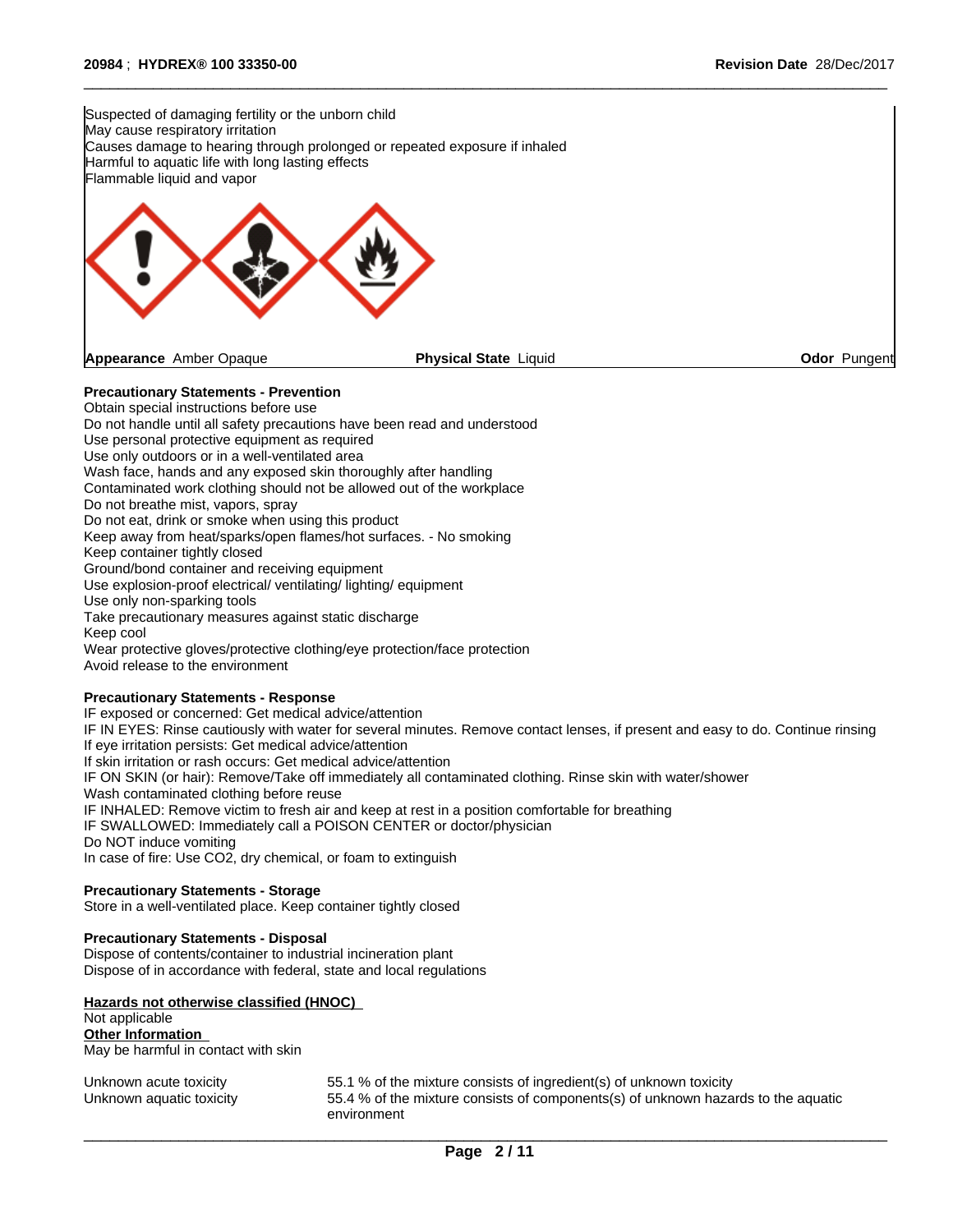

 $\overline{\phantom{a}}$  ,  $\overline{\phantom{a}}$  ,  $\overline{\phantom{a}}$  ,  $\overline{\phantom{a}}$  ,  $\overline{\phantom{a}}$  ,  $\overline{\phantom{a}}$  ,  $\overline{\phantom{a}}$  ,  $\overline{\phantom{a}}$  ,  $\overline{\phantom{a}}$  ,  $\overline{\phantom{a}}$  ,  $\overline{\phantom{a}}$  ,  $\overline{\phantom{a}}$  ,  $\overline{\phantom{a}}$  ,  $\overline{\phantom{a}}$  ,  $\overline{\phantom{a}}$  ,  $\overline{\phantom{a}}$ 

## **Precautionary Statements - Prevention**

Obtain special instructions before use Do not handle until all safety precautions have been read and understood Use personal protective equipment as required Use only outdoors or in a well-ventilated area Wash face, hands and any exposed skin thoroughly after handling Contaminated work clothing should not be allowed out of the workplace Do not breathe mist, vapors, spray Do not eat, drink or smoke when using this product Keep away from heat/sparks/open flames/hot surfaces. - No smoking Keep container tightly closed Ground/bond container and receiving equipment Use explosion-proof electrical/ ventilating/ lighting/ equipment Use only non-sparking tools Take precautionary measures against static discharge Keep cool Wear protective gloves/protective clothing/eye protection/face protection Avoid release to the environment

### **Precautionary Statements - Response**

IF exposed or concerned: Get medical advice/attention IF IN EYES: Rinse cautiously with water for several minutes. Remove contact lenses, if present and easy to do. Continue rinsing If eye irritation persists: Get medical advice/attention If skin irritation or rash occurs: Get medical advice/attention IF ON SKIN (or hair): Remove/Take off immediately all contaminated clothing. Rinse skin with water/shower Wash contaminated clothing before reuse IF INHALED: Remove victim to fresh air and keep at rest in a position comfortable for breathing IF SWALLOWED: Immediately call a POISON CENTER or doctor/physician Do NOT induce vomiting In case of fire: Use CO2, dry chemical, or foam to extinguish

#### **Precautionary Statements - Storage**

Store in a well-ventilated place. Keep container tightly closed

#### **Precautionary Statements - Disposal**

Dispose of contents/container to industrial incineration plant Dispose of in accordance with federal, state and local regulations

#### **Hazards not otherwise classified (HNOC)**

# Not applicable

**Other Information** May be harmful in contact with skin

| Unknown acute toxicity   | 55.1 % of the mixture consists of ingredient(s) of unknown toxicity               |
|--------------------------|-----------------------------------------------------------------------------------|
| Unknown aquatic toxicity | 55.4 % of the mixture consists of components(s) of unknown hazards to the aquatic |
|                          | environment                                                                       |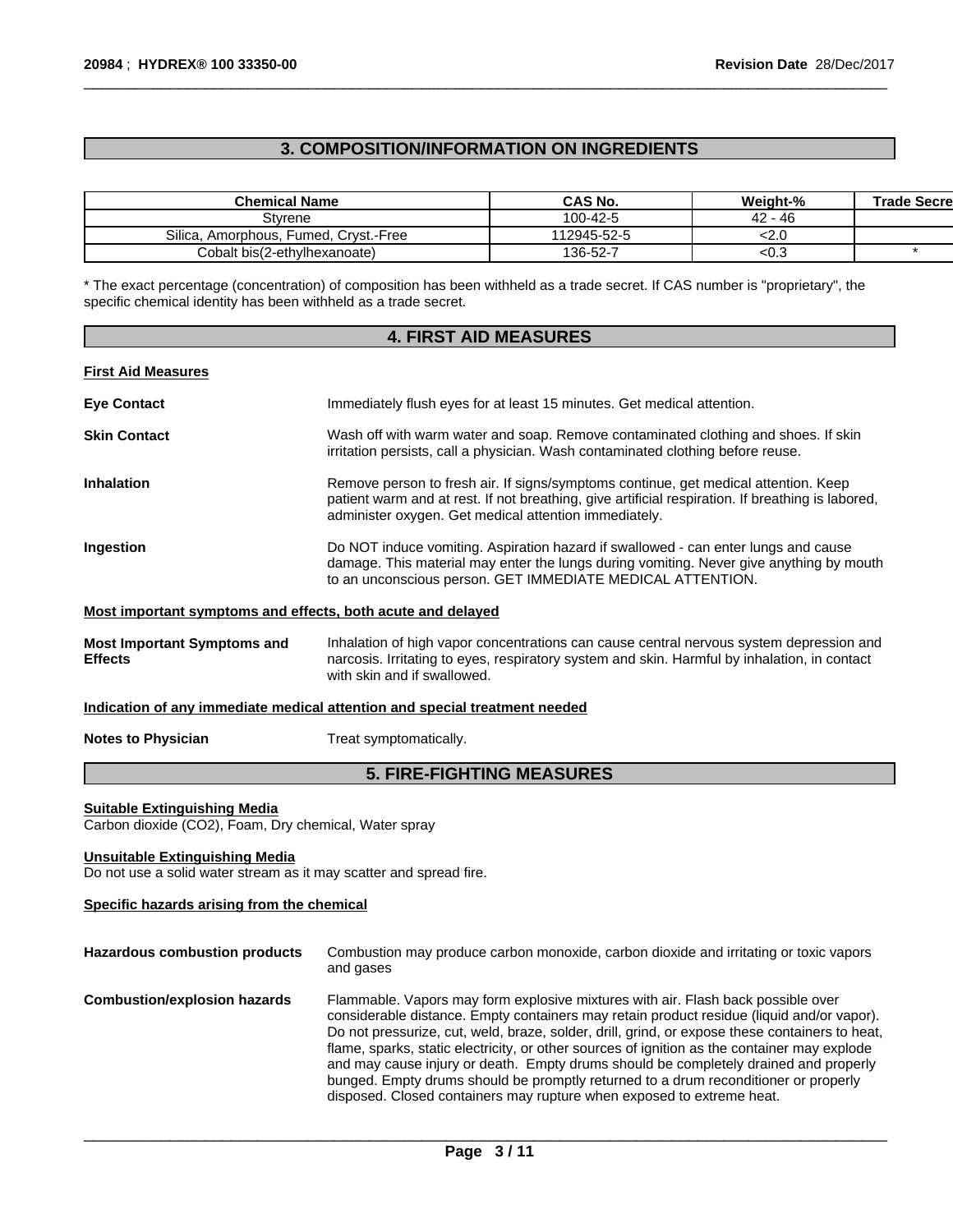# **3. COMPOSITION/INFORMATION ON INGREDIENTS**

| <b>Chemical Name</b>                  | CAS No.     | Weight-%   | <b>Trade Secre</b> |
|---------------------------------------|-------------|------------|--------------------|
| Stvrene                               | 100-42-5    | - 46<br>42 |                    |
| Silica, Amorphous, Fumed, Cryst,-Free | 112945-52-5 | <∠.ע       |                    |
| Cobalt bis(2-ethvlhexanoate)          | 136-52-7    | <∪.ټ       |                    |

 $\overline{\phantom{a}}$  ,  $\overline{\phantom{a}}$  ,  $\overline{\phantom{a}}$  ,  $\overline{\phantom{a}}$  ,  $\overline{\phantom{a}}$  ,  $\overline{\phantom{a}}$  ,  $\overline{\phantom{a}}$  ,  $\overline{\phantom{a}}$  ,  $\overline{\phantom{a}}$  ,  $\overline{\phantom{a}}$  ,  $\overline{\phantom{a}}$  ,  $\overline{\phantom{a}}$  ,  $\overline{\phantom{a}}$  ,  $\overline{\phantom{a}}$  ,  $\overline{\phantom{a}}$  ,  $\overline{\phantom{a}}$ 

\* The exact percentage (concentration) of composition has been withheld as a trade secret. If CAS number is "proprietary", the specific chemical identity has been withheld as a trade secret.

| <b>4. FIRST AID MEASURES</b>                                                                                |                                                                                                                                                                                                                                                   |  |
|-------------------------------------------------------------------------------------------------------------|---------------------------------------------------------------------------------------------------------------------------------------------------------------------------------------------------------------------------------------------------|--|
| <b>First Aid Measures</b>                                                                                   |                                                                                                                                                                                                                                                   |  |
| <b>Eye Contact</b>                                                                                          | Immediately flush eyes for at least 15 minutes. Get medical attention.                                                                                                                                                                            |  |
| <b>Skin Contact</b>                                                                                         | Wash off with warm water and soap. Remove contaminated clothing and shoes. If skin<br>irritation persists, call a physician. Wash contaminated clothing before reuse.                                                                             |  |
| <b>Inhalation</b>                                                                                           | Remove person to fresh air. If signs/symptoms continue, get medical attention. Keep<br>patient warm and at rest. If not breathing, give artificial respiration. If breathing is labored,<br>administer oxygen. Get medical attention immediately. |  |
| Ingestion                                                                                                   | Do NOT induce vomiting. Aspiration hazard if swallowed - can enter lungs and cause<br>damage. This material may enter the lungs during vomiting. Never give anything by mouth<br>to an unconscious person. GET IMMEDIATE MEDICAL ATTENTION.       |  |
| Most important symptoms and effects, both acute and delayed                                                 |                                                                                                                                                                                                                                                   |  |
| <b>Most Important Symptoms and</b><br><b>Effects</b>                                                        | Inhalation of high vapor concentrations can cause central nervous system depression and<br>narcosis. Irritating to eyes, respiratory system and skin. Harmful by inhalation, in contact<br>with skin and if swallowed.                            |  |
|                                                                                                             | Indication of any immediate medical attention and special treatment needed                                                                                                                                                                        |  |
| <b>Notes to Physician</b>                                                                                   | Treat symptomatically.                                                                                                                                                                                                                            |  |
| <b>5. FIRE-FIGHTING MEASURES</b>                                                                            |                                                                                                                                                                                                                                                   |  |
| <b>Suitable Extinguishing Media</b><br>Carbon dioxide (CO2), Foam, Dry chemical, Water spray                |                                                                                                                                                                                                                                                   |  |
| <b>Unsuitable Extinguishing Media</b><br>Do not use a solid water stream as it may scatter and spread fire. |                                                                                                                                                                                                                                                   |  |

### **Specific hazards arising from the chemical**

| <b>Hazardous combustion products</b> | Combustion may produce carbon monoxide, carbon dioxide and irritating or toxic vapors<br>and gases                                                                                                                                                                                                                                                                                                                                                                                                                                                                                                                                      |
|--------------------------------------|-----------------------------------------------------------------------------------------------------------------------------------------------------------------------------------------------------------------------------------------------------------------------------------------------------------------------------------------------------------------------------------------------------------------------------------------------------------------------------------------------------------------------------------------------------------------------------------------------------------------------------------------|
| <b>Combustion/explosion hazards</b>  | Flammable. Vapors may form explosive mixtures with air. Flash back possible over<br>considerable distance. Empty containers may retain product residue (liquid and/or vapor).<br>Do not pressurize, cut, weld, braze, solder, drill, grind, or expose these containers to heat,<br>flame, sparks, static electricity, or other sources of ignition as the container may explode<br>and may cause injury or death. Empty drums should be completely drained and properly<br>bunged. Empty drums should be promptly returned to a drum reconditioner or properly<br>disposed. Closed containers may rupture when exposed to extreme heat. |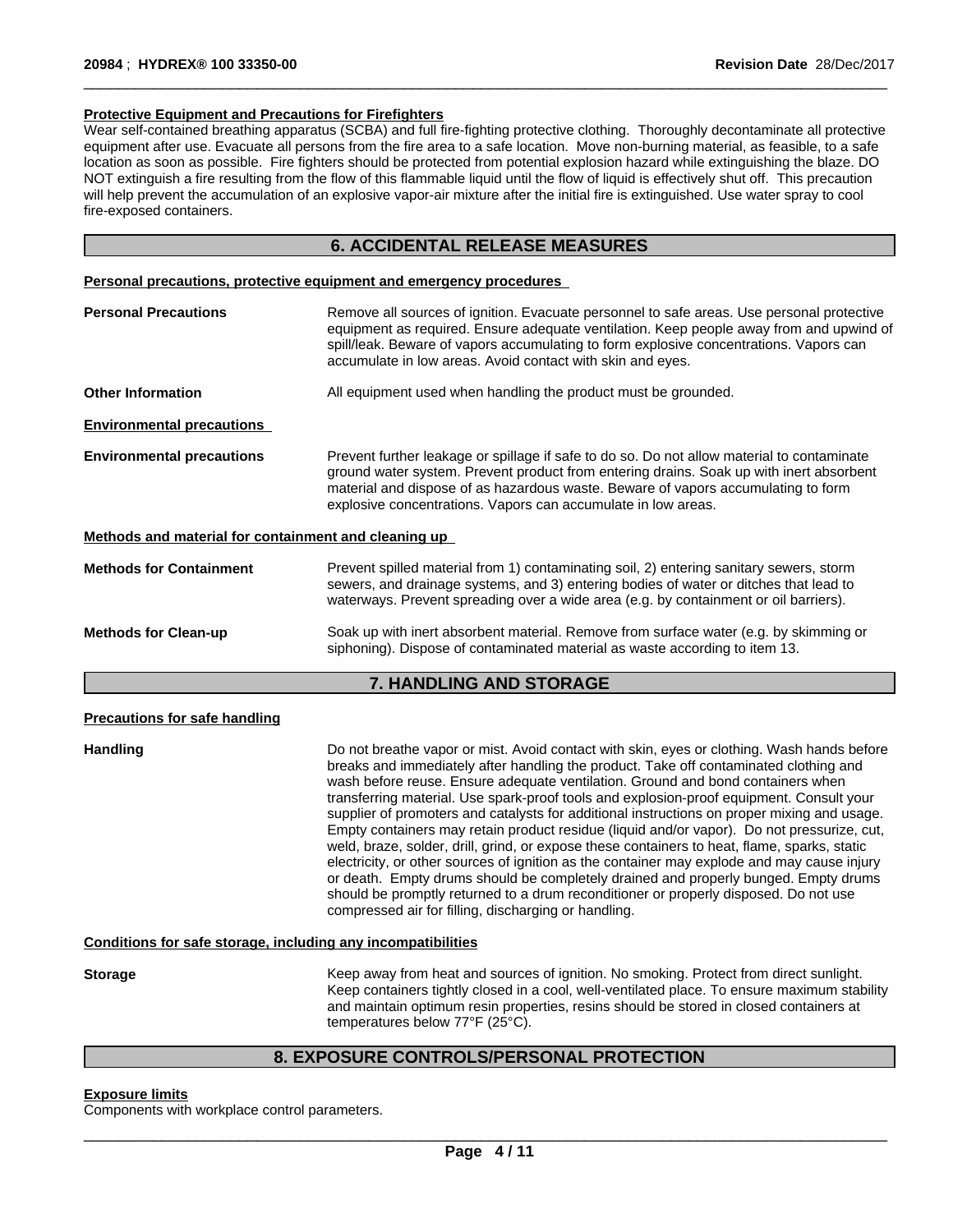#### **Protective Equipment and Precautions for Firefighters**

Wear self-contained breathing apparatus (SCBA) and full fire-fighting protective clothing. Thoroughly decontaminate all protective equipment after use. Evacuate all persons from the fire area to a safe location. Move non-burning material, as feasible, to a safe location as soon as possible. Fire fighters should be protected from potential explosion hazard while extinguishing the blaze. DO NOT extinguish a fire resulting from the flow of this flammable liquid until the flow of liquid is effectively shut off. This precaution will help prevent the accumulation of an explosive vapor-air mixture after the initial fire is extinguished. Use water spray to cool fire-exposed containers.

 $\overline{\phantom{a}}$  ,  $\overline{\phantom{a}}$  ,  $\overline{\phantom{a}}$  ,  $\overline{\phantom{a}}$  ,  $\overline{\phantom{a}}$  ,  $\overline{\phantom{a}}$  ,  $\overline{\phantom{a}}$  ,  $\overline{\phantom{a}}$  ,  $\overline{\phantom{a}}$  ,  $\overline{\phantom{a}}$  ,  $\overline{\phantom{a}}$  ,  $\overline{\phantom{a}}$  ,  $\overline{\phantom{a}}$  ,  $\overline{\phantom{a}}$  ,  $\overline{\phantom{a}}$  ,  $\overline{\phantom{a}}$ 

### **6. ACCIDENTAL RELEASE MEASURES**

#### **Personal precautions, protective equipment and emergency procedures**

| <b>Personal Precautions</b>                          | Remove all sources of ignition. Evacuate personnel to safe areas. Use personal protective<br>equipment as required. Ensure adequate ventilation. Keep people away from and upwind of<br>spill/leak. Beware of vapors accumulating to form explosive concentrations. Vapors can<br>accumulate in low areas. Avoid contact with skin and eyes. |
|------------------------------------------------------|----------------------------------------------------------------------------------------------------------------------------------------------------------------------------------------------------------------------------------------------------------------------------------------------------------------------------------------------|
| <b>Other Information</b>                             | All equipment used when handling the product must be grounded.                                                                                                                                                                                                                                                                               |
| <b>Environmental precautions</b>                     |                                                                                                                                                                                                                                                                                                                                              |
| <b>Environmental precautions</b>                     | Prevent further leakage or spillage if safe to do so. Do not allow material to contaminate<br>ground water system. Prevent product from entering drains. Soak up with inert absorbent<br>material and dispose of as hazardous waste. Beware of vapors accumulating to form<br>explosive concentrations. Vapors can accumulate in low areas.  |
| Methods and material for containment and cleaning up |                                                                                                                                                                                                                                                                                                                                              |
| <b>Methods for Containment</b>                       | Prevent spilled material from 1) contaminating soil, 2) entering sanitary sewers, storm<br>sewers, and drainage systems, and 3) entering bodies of water or ditches that lead to<br>waterways. Prevent spreading over a wide area (e.g. by containment or oil barriers).                                                                     |
| <b>Methods for Clean-up</b>                          | Soak up with inert absorbent material. Remove from surface water (e.g. by skimming or<br>siphoning). Dispose of contaminated material as waste according to item 13.                                                                                                                                                                         |

# **7. HANDLING AND STORAGE**

#### **Precautions for safe handling**

**Handling Example 20 Industry Do not breathe vapor or mist. Avoid contact with skin, eyes or clothing. Wash hands before** breaks and immediately after handling the product. Take off contaminated clothing and wash before reuse. Ensure adequate ventilation. Ground and bond containers when transferring material. Use spark-proof tools and explosion-proof equipment. Consult your supplier of promoters and catalysts for additional instructions on proper mixing and usage. Empty containers may retain product residue (liquid and/or vapor). Do not pressurize, cut, weld, braze, solder, drill, grind, or expose these containers to heat, flame, sparks, static electricity, or other sources of ignition as the container may explode and may cause injury or death. Empty drums should be completely drained and properly bunged. Empty drums should be promptly returned to a drum reconditioner or properly disposed. Do not use compressed air for filling, discharging or handling.

#### **Conditions for safe storage, including any incompatibilities**

**Storage** Keep away from heat and sources of ignition. No smoking. Protect from direct sunlight. Keep containers tightly closed in a cool, well-ventilated place. To ensure maximum stability and maintain optimum resin properties, resins should be stored in closed containers at temperatures below 77°F (25°C).

## **8. EXPOSURE CONTROLS/PERSONAL PROTECTION**

#### **Exposure limits**

Components with workplace control parameters.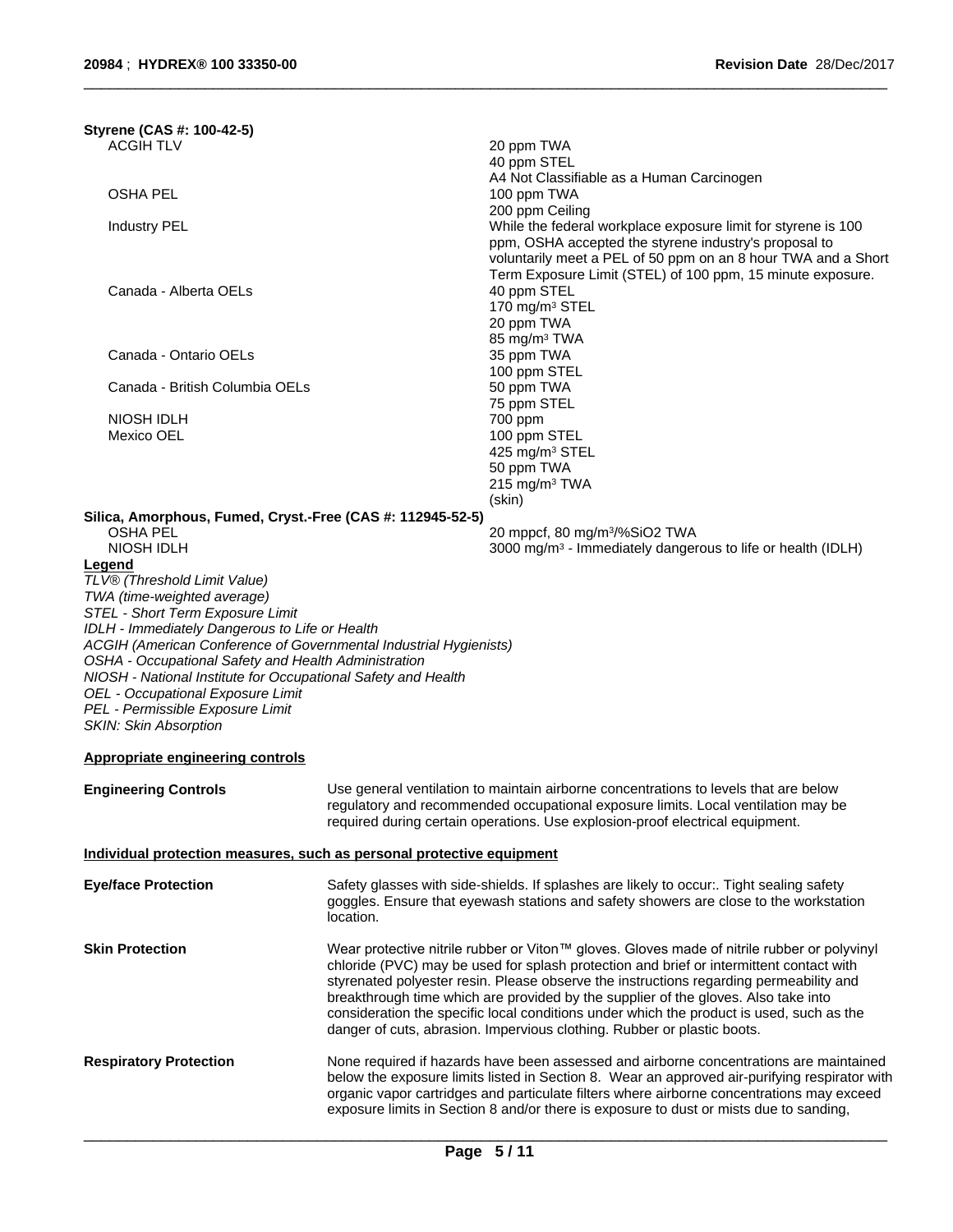| Styrene (CAS #: 100-42-5)                                                                                                                                                                                                                                                                                                                                                                                                |           |                                                                                                                                                                                                                                                                                                                                                                                                                                                                                                                                               |  |
|--------------------------------------------------------------------------------------------------------------------------------------------------------------------------------------------------------------------------------------------------------------------------------------------------------------------------------------------------------------------------------------------------------------------------|-----------|-----------------------------------------------------------------------------------------------------------------------------------------------------------------------------------------------------------------------------------------------------------------------------------------------------------------------------------------------------------------------------------------------------------------------------------------------------------------------------------------------------------------------------------------------|--|
| <b>ACGIH TLV</b>                                                                                                                                                                                                                                                                                                                                                                                                         |           | 20 ppm TWA<br>40 ppm STEL<br>A4 Not Classifiable as a Human Carcinogen                                                                                                                                                                                                                                                                                                                                                                                                                                                                        |  |
| <b>OSHA PEL</b>                                                                                                                                                                                                                                                                                                                                                                                                          |           | 100 ppm TWA                                                                                                                                                                                                                                                                                                                                                                                                                                                                                                                                   |  |
| Industry PEL                                                                                                                                                                                                                                                                                                                                                                                                             |           | 200 ppm Ceiling<br>While the federal workplace exposure limit for styrene is 100<br>ppm, OSHA accepted the styrene industry's proposal to                                                                                                                                                                                                                                                                                                                                                                                                     |  |
| Canada - Alberta OELs                                                                                                                                                                                                                                                                                                                                                                                                    |           | voluntarily meet a PEL of 50 ppm on an 8 hour TWA and a Short<br>Term Exposure Limit (STEL) of 100 ppm, 15 minute exposure.<br>40 ppm STEL<br>170 mg/m <sup>3</sup> STEL<br>20 ppm TWA                                                                                                                                                                                                                                                                                                                                                        |  |
| Canada - Ontario OELs                                                                                                                                                                                                                                                                                                                                                                                                    |           | 85 mg/m <sup>3</sup> TWA<br>35 ppm TWA<br>100 ppm STEL                                                                                                                                                                                                                                                                                                                                                                                                                                                                                        |  |
| Canada - British Columbia OELs                                                                                                                                                                                                                                                                                                                                                                                           |           | 50 ppm TWA<br>75 ppm STEL                                                                                                                                                                                                                                                                                                                                                                                                                                                                                                                     |  |
| NIOSH IDLH<br>Mexico OEL                                                                                                                                                                                                                                                                                                                                                                                                 |           | 700 ppm<br>100 ppm STEL<br>425 mg/m <sup>3</sup> STEL<br>50 ppm TWA<br>215 mg/m <sup>3</sup> TWA<br>(skin)                                                                                                                                                                                                                                                                                                                                                                                                                                    |  |
| Silica, Amorphous, Fumed, Cryst.-Free (CAS #: 112945-52-5)<br>OSHA PEL<br>NIOSH IDLH                                                                                                                                                                                                                                                                                                                                     |           | 20 mppcf, 80 mg/m <sup>3</sup> /%SiO2 TWA<br>3000 mg/m <sup>3</sup> - Immediately dangerous to life or health (IDLH)                                                                                                                                                                                                                                                                                                                                                                                                                          |  |
| TWA (time-weighted average)<br>STEL - Short Term Exposure Limit<br>IDLH - Immediately Dangerous to Life or Health<br>ACGIH (American Conference of Governmental Industrial Hygienists)<br>OSHA - Occupational Safety and Health Administration<br>NIOSH - National Institute for Occupational Safety and Health<br>OEL - Occupational Exposure Limit<br>PEL - Permissible Exposure Limit<br><b>SKIN: Skin Absorption</b> |           |                                                                                                                                                                                                                                                                                                                                                                                                                                                                                                                                               |  |
| Appropriate engineering controls                                                                                                                                                                                                                                                                                                                                                                                         |           |                                                                                                                                                                                                                                                                                                                                                                                                                                                                                                                                               |  |
| <b>Engineering Controls</b>                                                                                                                                                                                                                                                                                                                                                                                              |           | Use general ventilation to maintain airborne concentrations to levels that are below<br>regulatory and recommended occupational exposure limits. Local ventilation may be<br>required during certain operations. Use explosion-proof electrical equipment.                                                                                                                                                                                                                                                                                    |  |
| Individual protection measures, such as personal protective equipment                                                                                                                                                                                                                                                                                                                                                    |           |                                                                                                                                                                                                                                                                                                                                                                                                                                                                                                                                               |  |
| <b>Eye/face Protection</b>                                                                                                                                                                                                                                                                                                                                                                                               | location. | Safety glasses with side-shields. If splashes are likely to occur:. Tight sealing safety<br>goggles. Ensure that eyewash stations and safety showers are close to the workstation                                                                                                                                                                                                                                                                                                                                                             |  |
| <b>Skin Protection</b>                                                                                                                                                                                                                                                                                                                                                                                                   |           | Wear protective nitrile rubber or Viton™ gloves. Gloves made of nitrile rubber or polyvinyl<br>chloride (PVC) may be used for splash protection and brief or intermittent contact with<br>styrenated polyester resin. Please observe the instructions regarding permeability and<br>breakthrough time which are provided by the supplier of the gloves. Also take into<br>consideration the specific local conditions under which the product is used, such as the<br>danger of cuts, abrasion. Impervious clothing. Rubber or plastic boots. |  |
| <b>Respiratory Protection</b>                                                                                                                                                                                                                                                                                                                                                                                            |           | None required if hazards have been assessed and airborne concentrations are maintained<br>below the exposure limits listed in Section 8. Wear an approved air-purifying respirator with<br>organic vapor cartridges and particulate filters where airborne concentrations may exceed<br>exposure limits in Section 8 and/or there is exposure to dust or mists due to sanding,                                                                                                                                                                |  |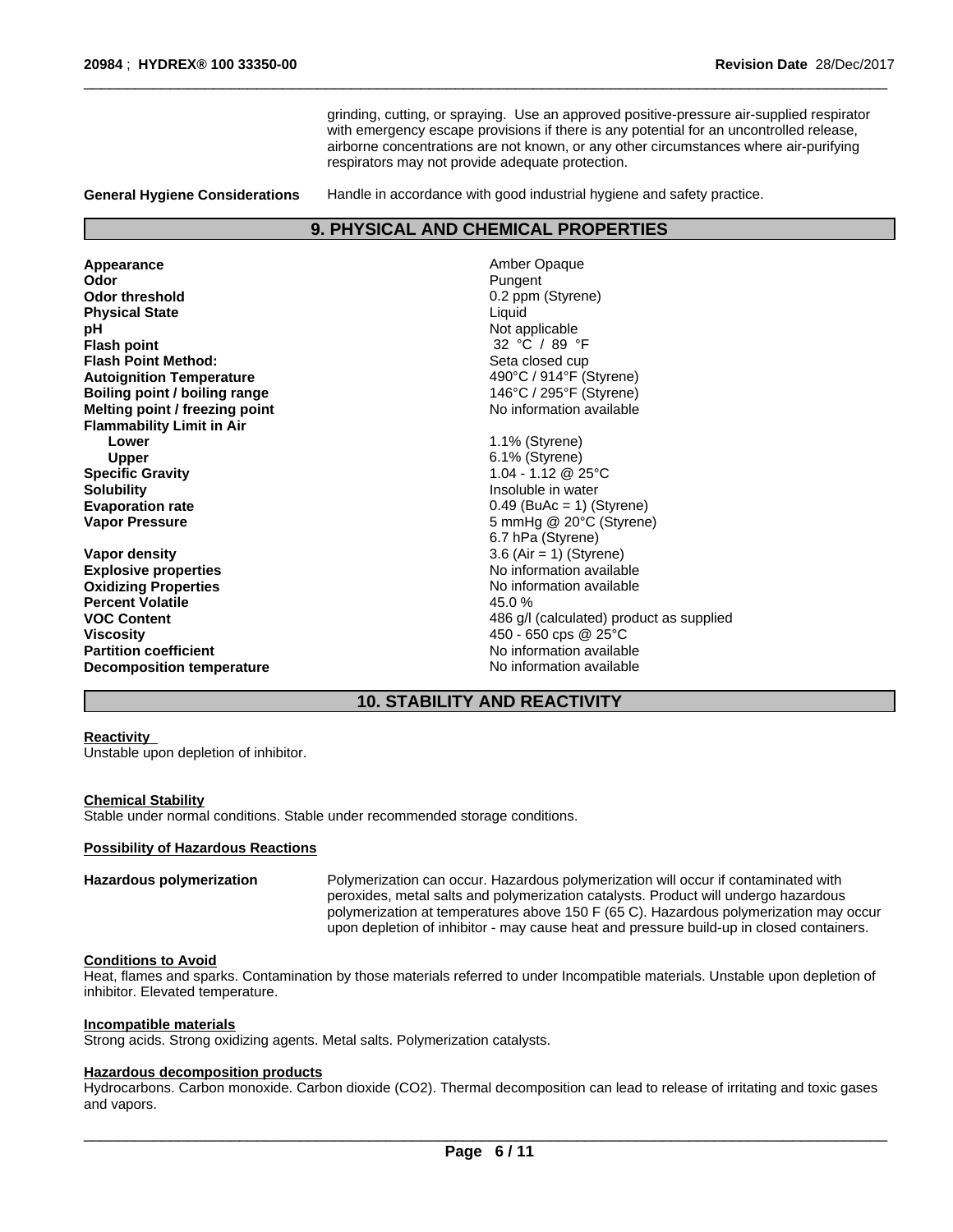grinding, cutting, or spraying. Use an approved positive-pressure air-supplied respirator with emergency escape provisions if there is any potential for an uncontrolled release, airborne concentrations are not known, or any other circumstances where air-purifying respirators may not provide adequate protection.

 $\overline{\phantom{a}}$  ,  $\overline{\phantom{a}}$  ,  $\overline{\phantom{a}}$  ,  $\overline{\phantom{a}}$  ,  $\overline{\phantom{a}}$  ,  $\overline{\phantom{a}}$  ,  $\overline{\phantom{a}}$  ,  $\overline{\phantom{a}}$  ,  $\overline{\phantom{a}}$  ,  $\overline{\phantom{a}}$  ,  $\overline{\phantom{a}}$  ,  $\overline{\phantom{a}}$  ,  $\overline{\phantom{a}}$  ,  $\overline{\phantom{a}}$  ,  $\overline{\phantom{a}}$  ,  $\overline{\phantom{a}}$ 

**General Hygiene Considerations** Handle in accordance with good industrial hygiene and safety practice.

### **9. PHYSICAL AND CHEMICAL PROPERTIES**

**Appearance Amber Opaque Amber Opaque**<br> **Amber Opaque**<br> **Amber Odor Odor** Pungent **Odor threshold 0.2 ppm (Styrene) Physical State** Liquid **pH** Not applicable **Flash point** 32 °C / 89 °F **Flash Point Method:**<br> **Autoignition Temperature**<br> **Autoignition Temperature**<br> **Autoignition Temperature Autoignition Temperature Boiling point / boiling range** 146°C / 295°F (Styrene) **Melting point / freezing point**  $\blacksquare$  *point*  $\blacksquare$  *No information available* **Flammability Limit in Air Lower** 1.1% (Styrene) **Upper** 6.1% (Styrene) **Specific Gravity** 1.04 - 1.12 @ 25°C **Solubility Insoluble in water Insoluble in water Insoluble in water Evaporation rate** 0.49 (BuAc = 1) (Styrene) **Vapor Pressure** 5 mmHg @ 20°C (Styrene)

**Vapor density** 3.6 (Air = 1) (Styrene) **Explosive properties CENE ACCESS** No information available **Oxidizing Properties**<br> **Percent Volatile**<br> **Percent Volatile**<br> **Percent Volatile Percent Volatile VOC Content VOC Content 186 g/l (calculated)** product as supplied **Viscosity** 450 - 650 cps @ 25°C **Partition coefficient**<br> **Decomposition temperature**<br>
No information available<br>
No information available **Decomposition temperature** 

6.7 hPa (Styrene)

# **10. STABILITY AND REACTIVITY**

#### **Reactivity**

Unstable upon depletion of inhibitor.

#### **Chemical Stability**

Stable under normal conditions. Stable under recommended storage conditions.

#### **Possibility of Hazardous Reactions**

**Hazardous polymerization** Polymerization can occur. Hazardous polymerization will occur if contaminated with peroxides, metal salts and polymerization catalysts. Product will undergo hazardous polymerization at temperatures above 150 F (65 C). Hazardous polymerization may occur upon depletion of inhibitor - may cause heat and pressure build-up in closed containers.

#### **Conditions to Avoid**

Heat, flames and sparks. Contamination by those materials referred to under Incompatible materials. Unstable upon depletion of inhibitor. Elevated temperature.

#### **Incompatible materials**

Strong acids. Strong oxidizing agents. Metal salts. Polymerization catalysts.

#### **Hazardous decomposition products**

Hydrocarbons. Carbon monoxide. Carbon dioxide (CO2). Thermal decomposition can lead to release of irritating and toxic gases and vapors.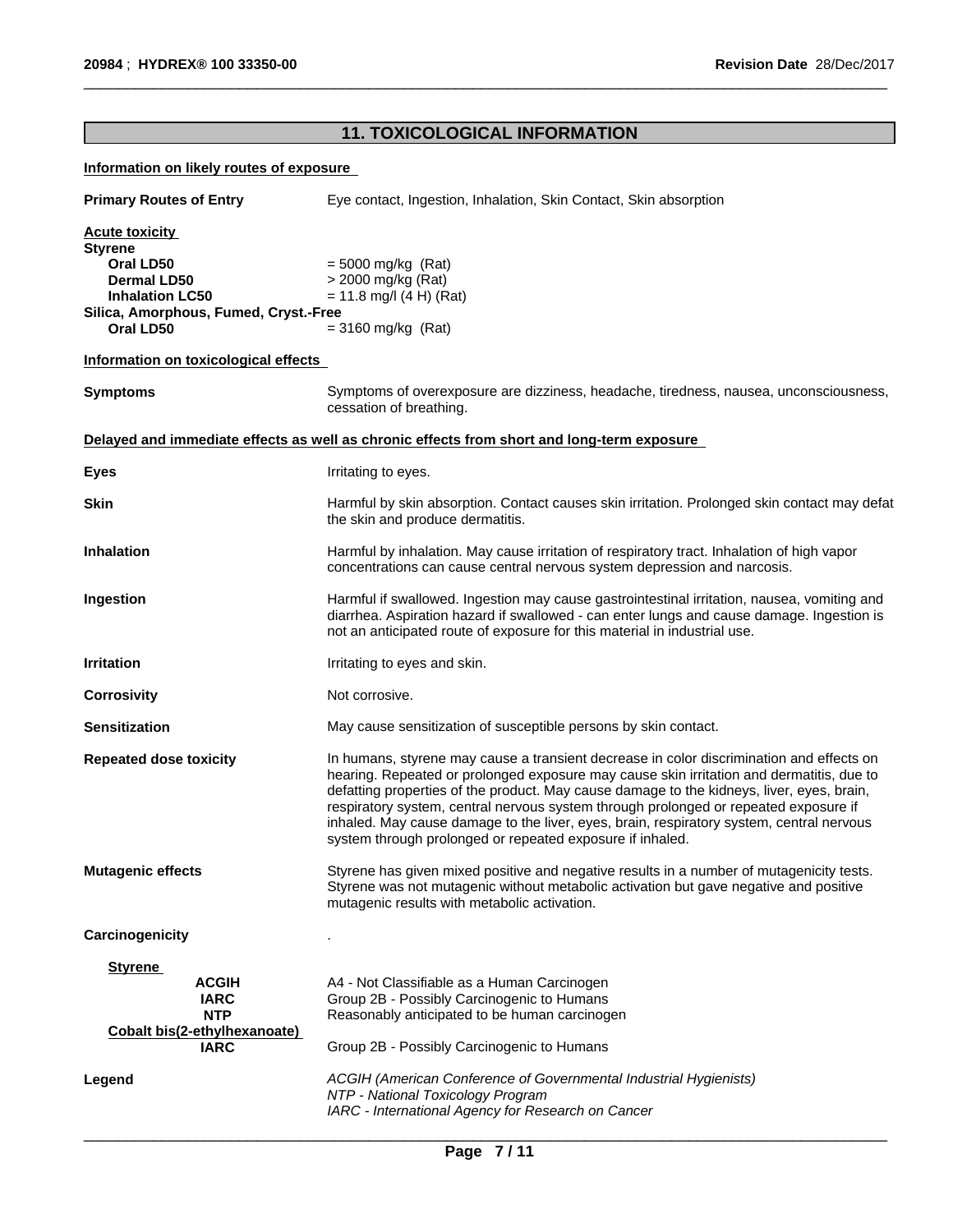# **11. TOXICOLOGICAL INFORMATION**

 $\overline{\phantom{a}}$  ,  $\overline{\phantom{a}}$  ,  $\overline{\phantom{a}}$  ,  $\overline{\phantom{a}}$  ,  $\overline{\phantom{a}}$  ,  $\overline{\phantom{a}}$  ,  $\overline{\phantom{a}}$  ,  $\overline{\phantom{a}}$  ,  $\overline{\phantom{a}}$  ,  $\overline{\phantom{a}}$  ,  $\overline{\phantom{a}}$  ,  $\overline{\phantom{a}}$  ,  $\overline{\phantom{a}}$  ,  $\overline{\phantom{a}}$  ,  $\overline{\phantom{a}}$  ,  $\overline{\phantom{a}}$ 

### **Information on likely routes of exposure**

| <b>Primary Routes of Entry</b>                                                                                                                      | Eye contact, Ingestion, Inhalation, Skin Contact, Skin absorption                                                                                                                                                                                                                                                                                                                                                                                                                                                                  |  |  |
|-----------------------------------------------------------------------------------------------------------------------------------------------------|------------------------------------------------------------------------------------------------------------------------------------------------------------------------------------------------------------------------------------------------------------------------------------------------------------------------------------------------------------------------------------------------------------------------------------------------------------------------------------------------------------------------------------|--|--|
| <b>Acute toxicity</b><br><b>Styrene</b><br>Oral LD50<br>Dermal LD50<br><b>Inhalation LC50</b><br>Silica, Amorphous, Fumed, Cryst.-Free<br>Oral LD50 | $= 5000$ mg/kg (Rat)<br>> 2000 mg/kg (Rat)<br>$= 11.8$ mg/l (4 H) (Rat)<br>$= 3160$ mg/kg (Rat)                                                                                                                                                                                                                                                                                                                                                                                                                                    |  |  |
| Information on toxicological effects                                                                                                                |                                                                                                                                                                                                                                                                                                                                                                                                                                                                                                                                    |  |  |
| <b>Symptoms</b>                                                                                                                                     | Symptoms of overexposure are dizziness, headache, tiredness, nausea, unconsciousness,<br>cessation of breathing.                                                                                                                                                                                                                                                                                                                                                                                                                   |  |  |
|                                                                                                                                                     | Delayed and immediate effects as well as chronic effects from short and long-term exposure                                                                                                                                                                                                                                                                                                                                                                                                                                         |  |  |
| <b>Eyes</b>                                                                                                                                         | Irritating to eyes.                                                                                                                                                                                                                                                                                                                                                                                                                                                                                                                |  |  |
| <b>Skin</b>                                                                                                                                         | Harmful by skin absorption. Contact causes skin irritation. Prolonged skin contact may defat<br>the skin and produce dermatitis.                                                                                                                                                                                                                                                                                                                                                                                                   |  |  |
| <b>Inhalation</b>                                                                                                                                   | Harmful by inhalation. May cause irritation of respiratory tract. Inhalation of high vapor<br>concentrations can cause central nervous system depression and narcosis.                                                                                                                                                                                                                                                                                                                                                             |  |  |
| Ingestion                                                                                                                                           | Harmful if swallowed. Ingestion may cause gastrointestinal irritation, nausea, vomiting and<br>diarrhea. Aspiration hazard if swallowed - can enter lungs and cause damage. Ingestion is<br>not an anticipated route of exposure for this material in industrial use.                                                                                                                                                                                                                                                              |  |  |
| <b>Irritation</b>                                                                                                                                   | Irritating to eyes and skin.                                                                                                                                                                                                                                                                                                                                                                                                                                                                                                       |  |  |
| <b>Corrosivity</b>                                                                                                                                  | Not corrosive.                                                                                                                                                                                                                                                                                                                                                                                                                                                                                                                     |  |  |
| <b>Sensitization</b>                                                                                                                                | May cause sensitization of susceptible persons by skin contact.                                                                                                                                                                                                                                                                                                                                                                                                                                                                    |  |  |
| <b>Repeated dose toxicity</b>                                                                                                                       | In humans, styrene may cause a transient decrease in color discrimination and effects on<br>hearing. Repeated or prolonged exposure may cause skin irritation and dermatitis, due to<br>defatting properties of the product. May cause damage to the kidneys, liver, eyes, brain,<br>respiratory system, central nervous system through prolonged or repeated exposure if<br>inhaled. May cause damage to the liver, eyes, brain, respiratory system, central nervous<br>system through prolonged or repeated exposure if inhaled. |  |  |
| <b>Mutagenic effects</b>                                                                                                                            | Styrene has given mixed positive and negative results in a number of mutagenicity tests.<br>Styrene was not mutagenic without metabolic activation but gave negative and positive<br>mutagenic results with metabolic activation.                                                                                                                                                                                                                                                                                                  |  |  |
| Carcinogenicity                                                                                                                                     |                                                                                                                                                                                                                                                                                                                                                                                                                                                                                                                                    |  |  |
| <b>Styrene</b><br><b>ACGIH</b><br><b>IARC</b><br><b>NTP</b><br>Cobalt bis(2-ethylhexanoate)<br><b>IARC</b>                                          | A4 - Not Classifiable as a Human Carcinogen<br>Group 2B - Possibly Carcinogenic to Humans<br>Reasonably anticipated to be human carcinogen<br>Group 2B - Possibly Carcinogenic to Humans                                                                                                                                                                                                                                                                                                                                           |  |  |
| Legend                                                                                                                                              | ACGIH (American Conference of Governmental Industrial Hygienists)<br>NTP - National Toxicology Program<br>IARC - International Agency for Research on Cancer                                                                                                                                                                                                                                                                                                                                                                       |  |  |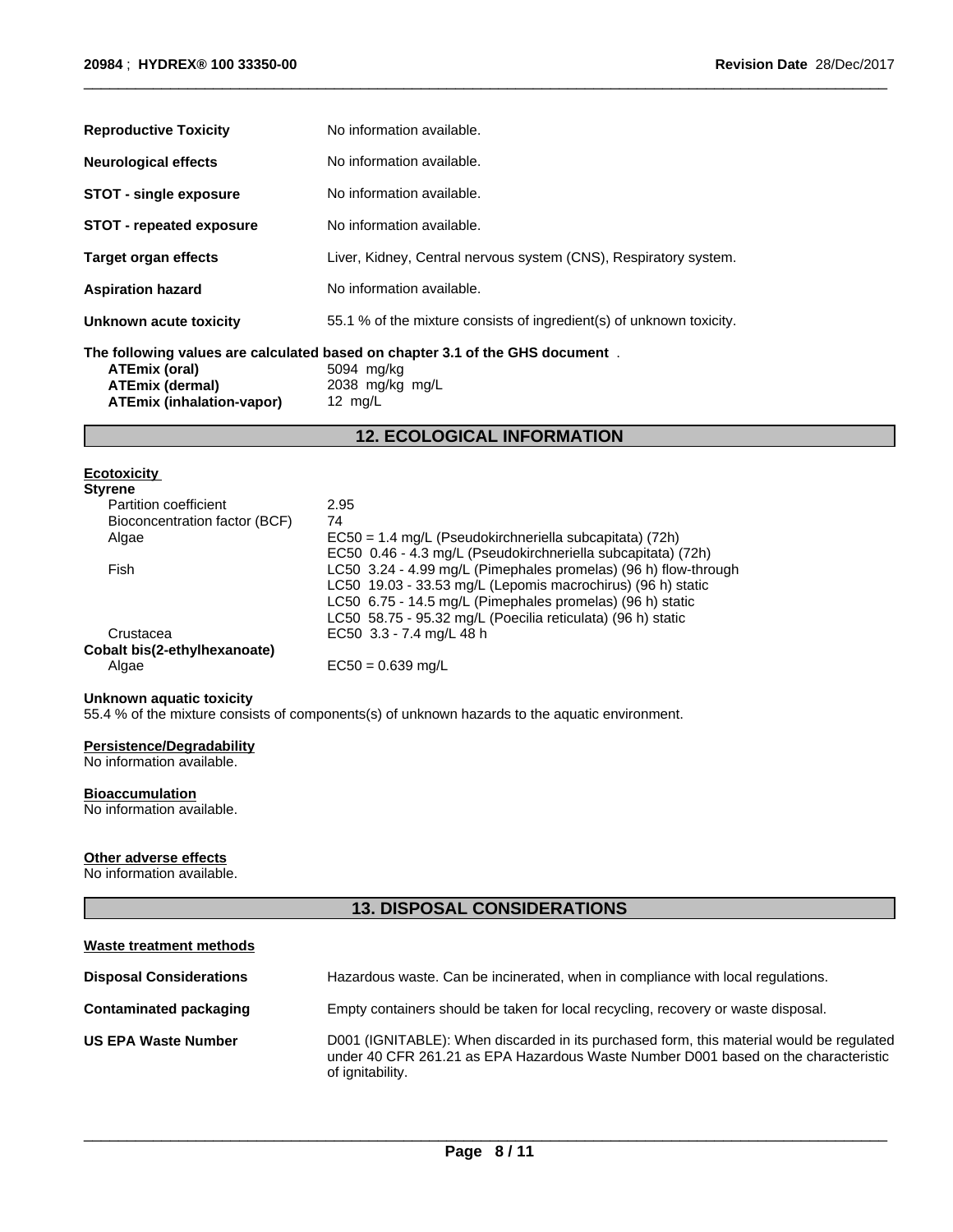| <b>Reproductive Toxicity</b>                                         | No information available.                                                                                                   |
|----------------------------------------------------------------------|-----------------------------------------------------------------------------------------------------------------------------|
| <b>Neurological effects</b>                                          | No information available.                                                                                                   |
| <b>STOT - single exposure</b>                                        | No information available.                                                                                                   |
| <b>STOT</b> - repeated exposure                                      | No information available.                                                                                                   |
| <b>Target organ effects</b>                                          | Liver, Kidney, Central nervous system (CNS), Respiratory system.                                                            |
| <b>Aspiration hazard</b>                                             | No information available.                                                                                                   |
| Unknown acute toxicity                                               | 55.1 % of the mixture consists of ingredient(s) of unknown toxicity.                                                        |
| ATEmix (oral)<br><b>ATEmix (dermal)</b><br>ATEmix (inhalation-vapor) | The following values are calculated based on chapter 3.1 of the GHS document.<br>5094 mg/kg<br>2038 mg/kg mg/L<br>12 $mg/L$ |

**12. ECOLOGICAL INFORMATION**

 $\overline{\phantom{a}}$  ,  $\overline{\phantom{a}}$  ,  $\overline{\phantom{a}}$  ,  $\overline{\phantom{a}}$  ,  $\overline{\phantom{a}}$  ,  $\overline{\phantom{a}}$  ,  $\overline{\phantom{a}}$  ,  $\overline{\phantom{a}}$  ,  $\overline{\phantom{a}}$  ,  $\overline{\phantom{a}}$  ,  $\overline{\phantom{a}}$  ,  $\overline{\phantom{a}}$  ,  $\overline{\phantom{a}}$  ,  $\overline{\phantom{a}}$  ,  $\overline{\phantom{a}}$  ,  $\overline{\phantom{a}}$ 

### **Ecotoxicity**

| <b>Styrene</b>                |                                                                 |
|-------------------------------|-----------------------------------------------------------------|
| Partition coefficient         | 2.95                                                            |
| Bioconcentration factor (BCF) | 74                                                              |
| Algae                         | EC50 = 1.4 mg/L (Pseudokirchneriella subcapitata) (72h)         |
|                               | EC50 0.46 - 4.3 mg/L (Pseudokirchneriella subcapitata) (72h)    |
| Fish                          | LC50 3.24 - 4.99 mg/L (Pimephales promelas) (96 h) flow-through |
|                               | LC50 19.03 - 33.53 mg/L (Lepomis macrochirus) (96 h) static     |
|                               | LC50 6.75 - 14.5 mg/L (Pimephales promelas) (96 h) static       |
|                               | LC50 58.75 - 95.32 mg/L (Poecilia reticulata) (96 h) static     |
| Crustacea                     | EC50 3.3 - 7.4 mg/L 48 h                                        |
| Cobalt bis(2-ethylhexanoate)  |                                                                 |
| Algae                         | $EC50 = 0.639$ mg/L                                             |

#### **Unknown aquatic toxicity**

55.4 % of the mixture consists of components(s) of unknown hazards to the aquatic environment.

#### **Persistence/Degradability**

No information available.

### **Bioaccumulation**

No information available.

### **Other adverse effects**

No information available.

# **13. DISPOSAL CONSIDERATIONS**

| Waste treatment methods        |                                                                                                                                                                                                    |
|--------------------------------|----------------------------------------------------------------------------------------------------------------------------------------------------------------------------------------------------|
| <b>Disposal Considerations</b> | Hazardous waste. Can be incinerated, when in compliance with local regulations.                                                                                                                    |
| Contaminated packaging         | Empty containers should be taken for local recycling, recovery or waste disposal.                                                                                                                  |
| <b>US EPA Waste Number</b>     | D001 (IGNITABLE): When discarded in its purchased form, this material would be regulated<br>under 40 CFR 261.21 as EPA Hazardous Waste Number D001 based on the characteristic<br>of ignitability. |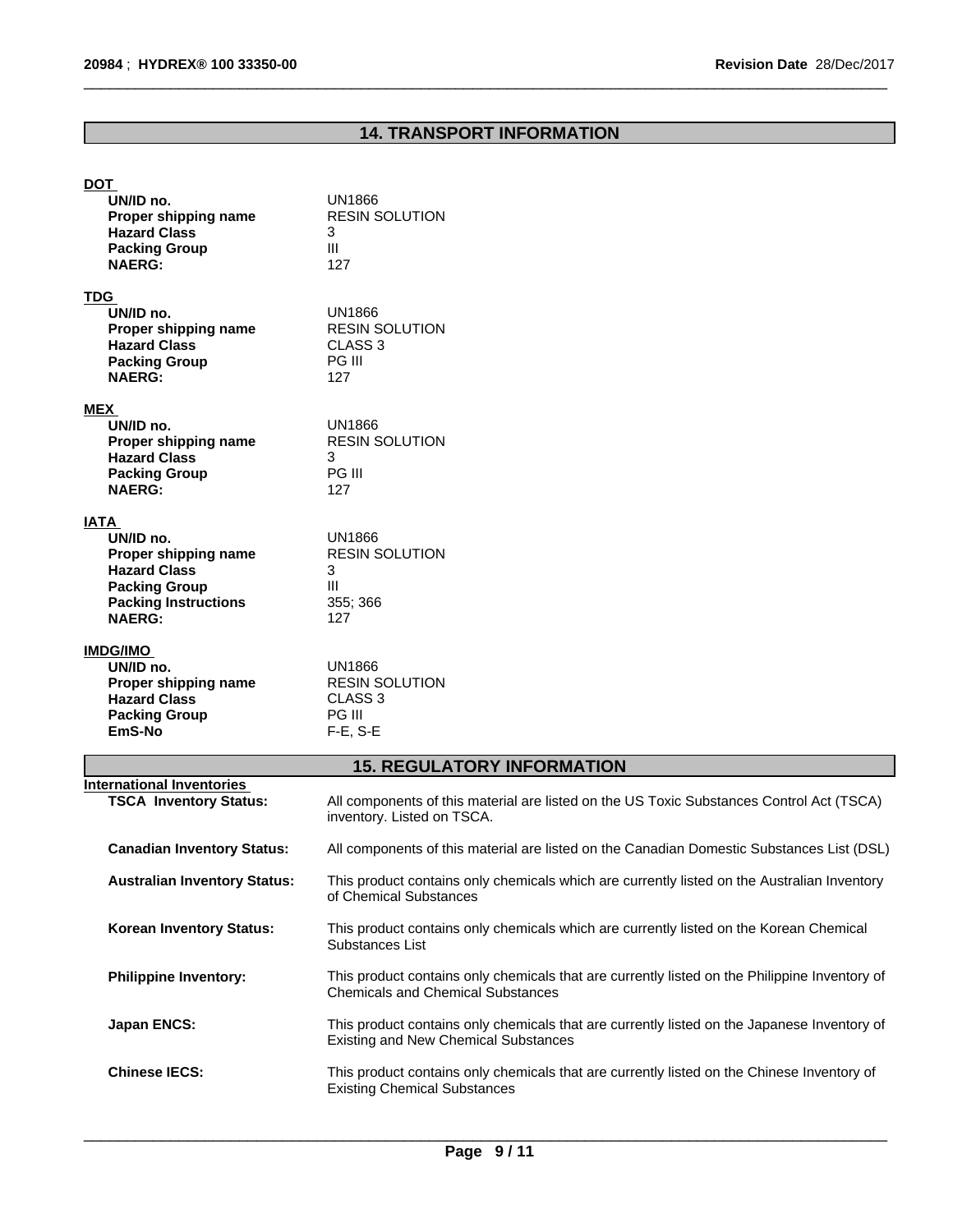# **14. TRANSPORT INFORMATION**

 $\overline{\phantom{a}}$  ,  $\overline{\phantom{a}}$  ,  $\overline{\phantom{a}}$  ,  $\overline{\phantom{a}}$  ,  $\overline{\phantom{a}}$  ,  $\overline{\phantom{a}}$  ,  $\overline{\phantom{a}}$  ,  $\overline{\phantom{a}}$  ,  $\overline{\phantom{a}}$  ,  $\overline{\phantom{a}}$  ,  $\overline{\phantom{a}}$  ,  $\overline{\phantom{a}}$  ,  $\overline{\phantom{a}}$  ,  $\overline{\phantom{a}}$  ,  $\overline{\phantom{a}}$  ,  $\overline{\phantom{a}}$ 

# **DOT**

| UN/ID no.<br>Proper shipping name<br><b>Hazard Class</b><br><b>Packing Group</b><br><b>NAERG:</b>                                               | UN1866<br><b>RESIN SOLUTION</b><br>3<br>III<br>127                            |  |
|-------------------------------------------------------------------------------------------------------------------------------------------------|-------------------------------------------------------------------------------|--|
| <b>TDG</b><br>UN/ID no.<br>Proper shipping name<br><b>Hazard Class</b><br><b>Packing Group</b><br><b>NAERG:</b>                                 | <b>UN1866</b><br><b>RESIN SOLUTION</b><br>CLASS <sub>3</sub><br>PG III<br>127 |  |
| <b>MEX</b><br>UN/ID no.<br>Proper shipping name<br><b>Hazard Class</b><br><b>Packing Group</b><br><b>NAERG:</b>                                 | UN1866<br><b>RESIN SOLUTION</b><br>3<br>PG III<br>127                         |  |
| <b>IATA</b><br>UN/ID no.<br>Proper shipping name<br><b>Hazard Class</b><br><b>Packing Group</b><br><b>Packing Instructions</b><br><b>NAERG:</b> | <b>UN1866</b><br><b>RESIN SOLUTION</b><br>3<br>Ш<br>355; 366<br>127           |  |
| <b>IMDG/IMO</b><br>UN/ID no.<br>Proper shipping name<br><b>Hazard Class</b><br><b>Packing Group</b>                                             | <b>UN1866</b><br><b>RESIN SOLUTION</b><br>CLASS <sub>3</sub><br><b>PG III</b> |  |

**EmS-No** F-E, S-E **15. REGULATORY INFORMATION**

| International Inventories<br><b>TSCA Inventory Status:</b> | All components of this material are listed on the US Toxic Substances Control Act (TSCA)<br>inventory. Listed on TSCA.                     |
|------------------------------------------------------------|--------------------------------------------------------------------------------------------------------------------------------------------|
| <b>Canadian Inventory Status:</b>                          | All components of this material are listed on the Canadian Domestic Substances List (DSL)                                                  |
| <b>Australian Inventory Status:</b>                        | This product contains only chemicals which are currently listed on the Australian Inventory<br>of Chemical Substances                      |
| <b>Korean Inventory Status:</b>                            | This product contains only chemicals which are currently listed on the Korean Chemical<br>Substances List                                  |
| <b>Philippine Inventory:</b>                               | This product contains only chemicals that are currently listed on the Philippine Inventory of<br><b>Chemicals and Chemical Substances</b>  |
| Japan ENCS:                                                | This product contains only chemicals that are currently listed on the Japanese Inventory of<br><b>Existing and New Chemical Substances</b> |
| <b>Chinese IECS:</b>                                       | This product contains only chemicals that are currently listed on the Chinese Inventory of<br><b>Existing Chemical Substances</b>          |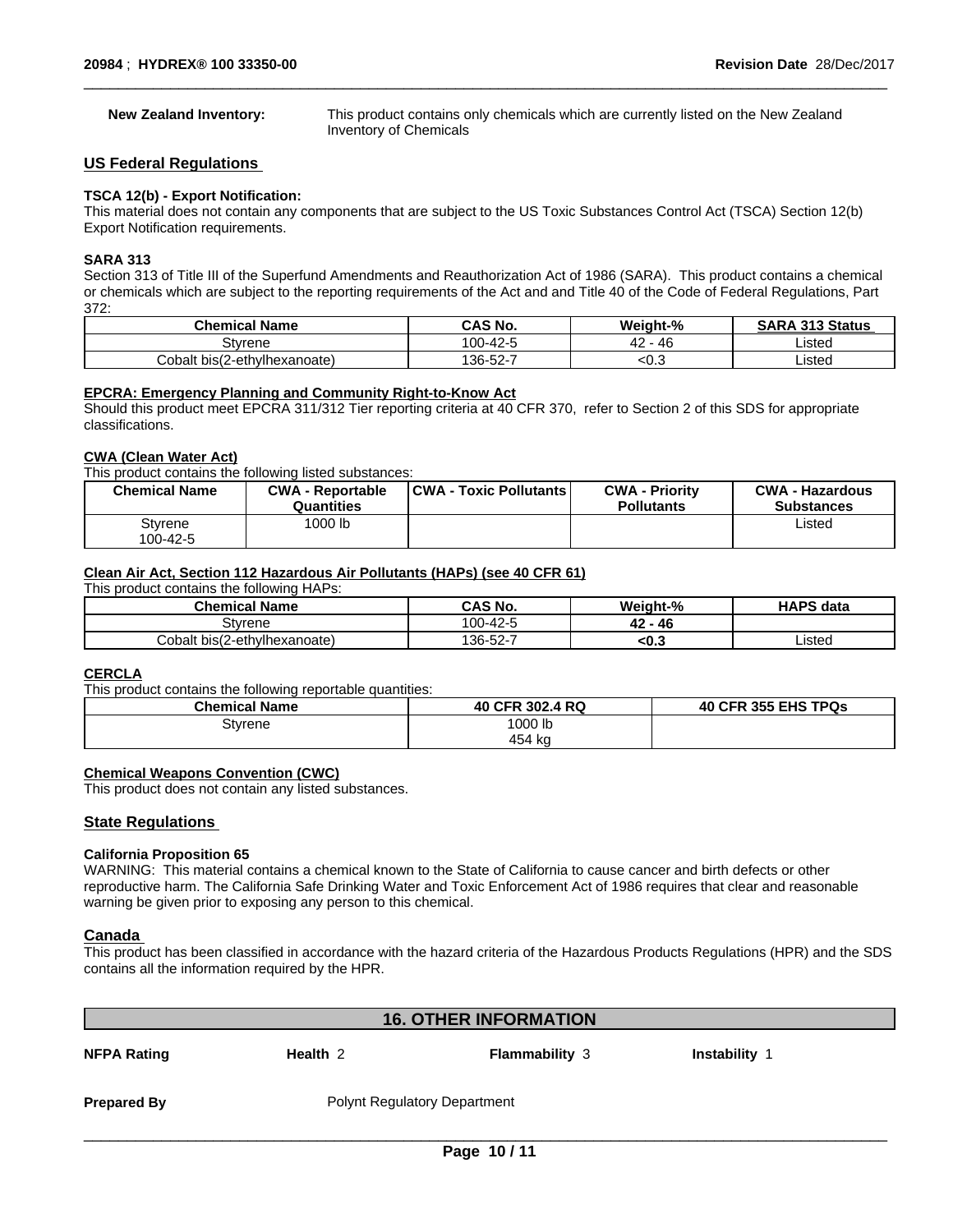**New Zealand Inventory:** This product contains only chemicals which are currently listed on the New Zealand Inventory of Chemicals

 $\overline{\phantom{a}}$  ,  $\overline{\phantom{a}}$  ,  $\overline{\phantom{a}}$  ,  $\overline{\phantom{a}}$  ,  $\overline{\phantom{a}}$  ,  $\overline{\phantom{a}}$  ,  $\overline{\phantom{a}}$  ,  $\overline{\phantom{a}}$  ,  $\overline{\phantom{a}}$  ,  $\overline{\phantom{a}}$  ,  $\overline{\phantom{a}}$  ,  $\overline{\phantom{a}}$  ,  $\overline{\phantom{a}}$  ,  $\overline{\phantom{a}}$  ,  $\overline{\phantom{a}}$  ,  $\overline{\phantom{a}}$ 

#### **US Federal Regulations**

#### **TSCA 12(b) - Export Notification:**

This material does not contain any components that are subject to the US Toxic Substances Control Act (TSCA) Section 12(b) Export Notification requirements.

#### **SARA 313**

Section 313 of Title III of the Superfund Amendments and Reauthorization Act of 1986 (SARA). This product contains a chemical or chemicals which are subject to the reporting requirements of the Act and and Title 40 of the Code of Federal Regulations, Part 372:

| .<br>.`hemical<br>l Name     | <b>CAS No.</b>  | Weiaht-%            | 313 Status<br><b>ADA</b><br>50 |
|------------------------------|-----------------|---------------------|--------------------------------|
| Stvrene                      | -42-<br>100     | $\sim$<br>- 46<br>╍ | Listed                         |
| Cobalt bis(2-ethylhexanoate) | -52-7<br>$'36-$ | ະບ.ວ                | Listed                         |

#### **EPCRA: Emergency Planning and Community Right-to-Know Act**

Should this product meet EPCRA 311/312 Tier reporting criteria at 40 CFR 370, refer to Section 2 of this SDS for appropriate classifications.

#### **CWA (Clean WaterAct)**

This product contains the following listed substances:

| <b>Chemical Name</b> | <b>CWA - Reportable</b><br>Quantities | <b>CWA - Toxic Pollutants  </b> | <b>CWA - Priority</b><br><b>Pollutants</b> | <b>CWA - Hazardous</b><br><b>Substances</b> |
|----------------------|---------------------------------------|---------------------------------|--------------------------------------------|---------------------------------------------|
| Styrene<br>100-42-5  | 1000 lb                               |                                 |                                            | Listed                                      |

# **Clean Air Act,Section 112 Hazardous Air Pollutants (HAPs) (see 40 CFR 61)**

| This product contains the following HAPs: |          |            |                  |  |
|-------------------------------------------|----------|------------|------------------|--|
| <b>Chemical Name</b>                      | CAS No.  | Weight-%   | <b>HAPS data</b> |  |
| Stvrene                                   | 100-42-5 | - 46<br>42 |                  |  |
| Cobalt bis(2-ethylhexanoate)              | 136-52-7 | <0.3       | Listed           |  |

#### **CERCLA**

This product contains the following reportable quantities:

| <b>Chemical Name</b> | 40 CFR 302.4 RQ | <b>40 CFR 355 EHS TPQs</b> |
|----------------------|-----------------|----------------------------|
| Styrene              | 1000 lb         |                            |
|                      | 454 kg          |                            |

#### **Chemical Weapons Convention (CWC)**

This product does not contain any listed substances.

#### **State Regulations**

#### **California Proposition 65**

WARNING: This material contains a chemical known to the State of California to cause cancer and birth defects or other reproductive harm. The California Safe Drinking Water and Toxic Enforcement Act of 1986 requires that clear and reasonable warning be given prior to exposing any person to this chemical.

# **Canada**

This product has been classified in accordance with the hazard criteria of the Hazardous Products Regulations (HPR) and the SDS contains all the information required by the HPR.

| <b>16. OTHER INFORMATION</b> |                                     |                       |                      |  |
|------------------------------|-------------------------------------|-----------------------|----------------------|--|
| <b>NFPA Rating</b>           | Health 2                            | <b>Flammability 3</b> | <b>Instability 1</b> |  |
| <b>Prepared By</b>           | <b>Polynt Regulatory Department</b> |                       |                      |  |
|                              |                                     |                       |                      |  |